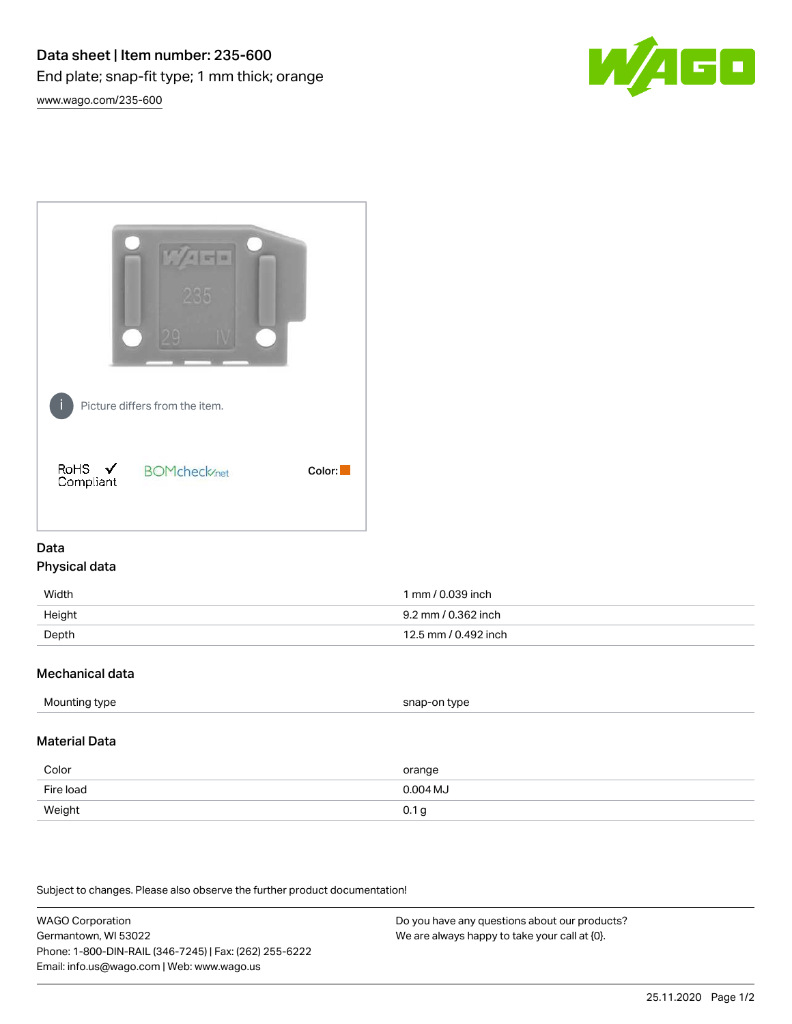



## Data Physical data

| Width  | 1 mm / 0.039 inch    |
|--------|----------------------|
| Height | 9.2 mm / 0.362 inch  |
| Depth  | 12.5 mm / 0.492 inch |

## Mechanical data

| Mounting type | snap-on type |
|---------------|--------------|
|               |              |

## Material Data

| Color     | orange           |
|-----------|------------------|
| Fire load | $0.004$ MJ       |
| Weight    | 0.1 <sub>g</sub> |

Subject to changes. Please also observe the further product documentation!

WAGO Corporation Germantown, WI 53022 Phone: 1-800-DIN-RAIL (346-7245) | Fax: (262) 255-6222 Email: info.us@wago.com | Web: www.wago.us Do you have any questions about our products? We are always happy to take your call at {0}.

25.11.2020 Page 1/2